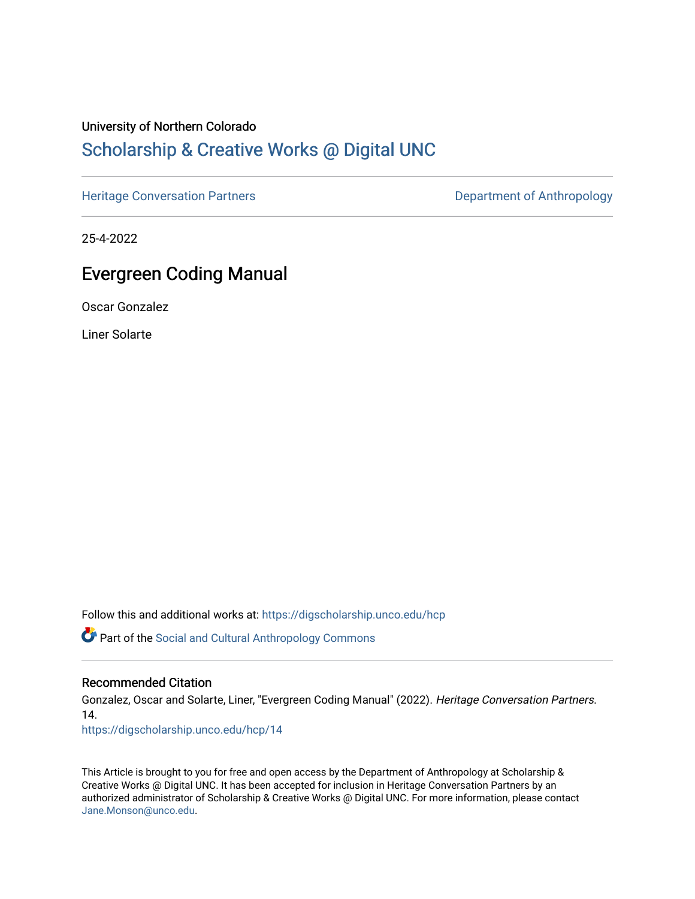## University of Northern Colorado

## [Scholarship & Creative Works @ Digital UNC](https://digscholarship.unco.edu/)

[Heritage Conversation Partners](https://digscholarship.unco.edu/hcp) **Department of Anthropology** 

25-4-2022

## Evergreen Coding Manual

Oscar Gonzalez

Liner Solarte

Follow this and additional works at: [https://digscholarship.unco.edu/hcp](https://digscholarship.unco.edu/hcp?utm_source=digscholarship.unco.edu%2Fhcp%2F14&utm_medium=PDF&utm_campaign=PDFCoverPages) 

Part of the [Social and Cultural Anthropology Commons](http://network.bepress.com/hgg/discipline/323?utm_source=digscholarship.unco.edu%2Fhcp%2F14&utm_medium=PDF&utm_campaign=PDFCoverPages) 

## Recommended Citation

Gonzalez, Oscar and Solarte, Liner, "Evergreen Coding Manual" (2022). Heritage Conversation Partners. 14.

[https://digscholarship.unco.edu/hcp/14](https://digscholarship.unco.edu/hcp/14?utm_source=digscholarship.unco.edu%2Fhcp%2F14&utm_medium=PDF&utm_campaign=PDFCoverPages) 

This Article is brought to you for free and open access by the Department of Anthropology at Scholarship & Creative Works @ Digital UNC. It has been accepted for inclusion in Heritage Conversation Partners by an authorized administrator of Scholarship & Creative Works @ Digital UNC. For more information, please contact [Jane.Monson@unco.edu.](mailto:Jane.Monson@unco.edu)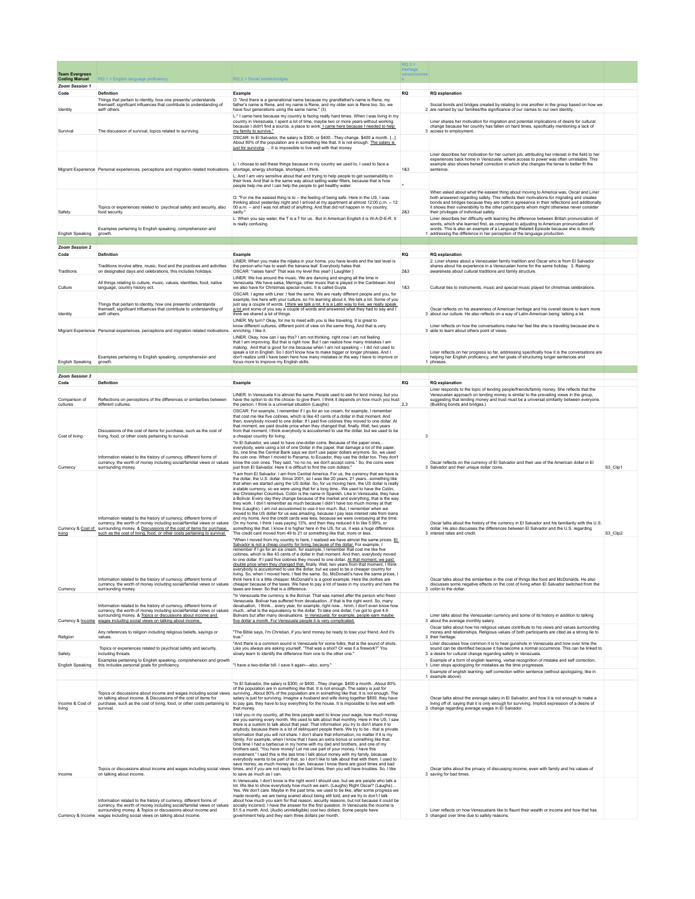|                                               |                                                                                                                                                                                                                                                                                        |                                                                                                                                                                                                                                                                                                                                                                                                                                                                                                                                                                                                                                                                                                                                                                                                                                                                                                                                                                                                                                                                                                     | $RQ$ 3 =<br>Heritage |                                                                                                                                                                                                                                                                                                                                                                                                                         |          |
|-----------------------------------------------|----------------------------------------------------------------------------------------------------------------------------------------------------------------------------------------------------------------------------------------------------------------------------------------|-----------------------------------------------------------------------------------------------------------------------------------------------------------------------------------------------------------------------------------------------------------------------------------------------------------------------------------------------------------------------------------------------------------------------------------------------------------------------------------------------------------------------------------------------------------------------------------------------------------------------------------------------------------------------------------------------------------------------------------------------------------------------------------------------------------------------------------------------------------------------------------------------------------------------------------------------------------------------------------------------------------------------------------------------------------------------------------------------------|----------------------|-------------------------------------------------------------------------------------------------------------------------------------------------------------------------------------------------------------------------------------------------------------------------------------------------------------------------------------------------------------------------------------------------------------------------|----------|
| <b>Team Evergreen</b><br><b>Coding Manual</b> | RQ 1 = English language profic                                                                                                                                                                                                                                                         | $RQ$ 2 = Social bonds/bridges                                                                                                                                                                                                                                                                                                                                                                                                                                                                                                                                                                                                                                                                                                                                                                                                                                                                                                                                                                                                                                                                       | conscious            |                                                                                                                                                                                                                                                                                                                                                                                                                         |          |
| Zoom Session 1<br>Code                        | Definition                                                                                                                                                                                                                                                                             | Example                                                                                                                                                                                                                                                                                                                                                                                                                                                                                                                                                                                                                                                                                                                                                                                                                                                                                                                                                                                                                                                                                             | <b>RQ</b>            | <b>RQ</b> explanation                                                                                                                                                                                                                                                                                                                                                                                                   |          |
| Identity                                      | Things that pertain to identity, how one presents/ understands<br>themself, significant influences that contribute to understanding of<br>self/ others.                                                                                                                                | O: "And there is a generational name because my grandfather's name is Rene, my<br>father's name is Rene, and my name is Rene, and my older son is Rene too. So, we<br>have four generations using the same name." (3)                                                                                                                                                                                                                                                                                                                                                                                                                                                                                                                                                                                                                                                                                                                                                                                                                                                                               |                      | Social bonds and bridges created by relating to one another in the group based on how we<br>2 are named by our families/the significance of our names to our own identity.                                                                                                                                                                                                                                              |          |
|                                               |                                                                                                                                                                                                                                                                                        | L:" I came here because my country is facing really hard times. When I was living in my<br>country in Venezuela, I spent a lot of time, maybe two or more years without working<br>because I didn't find a source, a place to work. I came here because I needed to help                                                                                                                                                                                                                                                                                                                                                                                                                                                                                                                                                                                                                                                                                                                                                                                                                            |                      | Liner shares her motivation for migration and potential implications of desire for cultural<br>change because her country has fallen on hard times, specifically mentioning a lack of                                                                                                                                                                                                                                   |          |
| Survival                                      | The discussion of survival, topics related to surviving.                                                                                                                                                                                                                               | my family to survive."<br>OSCAR: In El Salvador, the salary is \$300, or \$400 They change. \$400 a month. []<br>About 80% of the population are in something like that. It is not enough. The salary is                                                                                                                                                                                                                                                                                                                                                                                                                                                                                                                                                                                                                                                                                                                                                                                                                                                                                            |                      | 3 access to employment.                                                                                                                                                                                                                                                                                                                                                                                                 |          |
|                                               |                                                                                                                                                                                                                                                                                        | just for surviving.  It is impossible to live well with that money                                                                                                                                                                                                                                                                                                                                                                                                                                                                                                                                                                                                                                                                                                                                                                                                                                                                                                                                                                                                                                  |                      | Liner describes her motivation for her current job, attributing her interest in the field to her                                                                                                                                                                                                                                                                                                                        |          |
|                                               | Migrant Experience Personal experiences, perceptions and migration related motivations.                                                                                                                                                                                                | L: I choose to sell these things because in my country we used to, I used to face a<br>shortage, energy shortage, shortages, I think<br>L: And I am very sensitive about that and trying to help people to get sustainability in<br>their lives. And that is the same way about selling water filters, because that is how<br>people help me and I can help the people to get healthy water.                                                                                                                                                                                                                                                                                                                                                                                                                                                                                                                                                                                                                                                                                                        | 183                  | experiences back home in Venezuela, where access to power was often unreliable. This<br>example also shows herself correction in which she changes the tense to better fit the<br>sentence.                                                                                                                                                                                                                             |          |
| Safety                                        | Topics or experiences related to psychical safety and security, also<br>food security.                                                                                                                                                                                                 | O: "For me the easiest thing is to -- the feeling of being safe. Here in the US, I was<br>thinking about yesterday night and I arrived at my apartment at almost 12:00 p.m. - 12:<br>00 a.m. -- and I was not afraid of anything. And that did not happen in my country,<br>sadly.                                                                                                                                                                                                                                                                                                                                                                                                                                                                                                                                                                                                                                                                                                                                                                                                                  | 283                  | When asked about what the easiest thing about moving to America was, Oscar and Liner<br>both answered regarding safety. This reflects their motivations for migrating and creates<br>bonds and bridges because they are both in agreeance in their reflections and additionally<br>it shows their vulnerability to the other participants whom might otherwise never consider<br>their privileges of individual safety. |          |
| English Speaking                              | Examples pertaining to English speaking, comprehension and<br>growth.                                                                                                                                                                                                                  | L: When you say water, the T is a T for us. But in American English it is W-A-D-E-R. It<br>is really confusing.                                                                                                                                                                                                                                                                                                                                                                                                                                                                                                                                                                                                                                                                                                                                                                                                                                                                                                                                                                                     |                      | Liner describes her difficulty with learning the difference between British pronunciation of<br>words, which she learned first, as compared to adjusting to American pronunciation of<br>words. This is also an example of a Language Related Episode because she is directly<br>1 addressing the difference in her perception of the language production.                                                              |          |
| Zoom Session 2                                |                                                                                                                                                                                                                                                                                        |                                                                                                                                                                                                                                                                                                                                                                                                                                                                                                                                                                                                                                                                                                                                                                                                                                                                                                                                                                                                                                                                                                     |                      |                                                                                                                                                                                                                                                                                                                                                                                                                         |          |
| Code                                          | Definition                                                                                                                                                                                                                                                                             | Example                                                                                                                                                                                                                                                                                                                                                                                                                                                                                                                                                                                                                                                                                                                                                                                                                                                                                                                                                                                                                                                                                             | <b>RQ</b>            | <b>RQ</b> explanation                                                                                                                                                                                                                                                                                                                                                                                                   |          |
| Traditions                                    | Traditions involve attire, music, food and the practices and activities<br>on designated days and celebrations, this includes holidays                                                                                                                                                 | LINER: When you make the nijiaka in your home, you have levels and the last level is<br>the person who has to wash the banana leaf. Everybody hates that.<br>OSCAR: *raises hand* That was my level this year! [ Laughter ]                                                                                                                                                                                                                                                                                                                                                                                                                                                                                                                                                                                                                                                                                                                                                                                                                                                                         | 283                  | 2. Liner shares about a Venezuelan family tradition and Oscar who is from El Salvador<br>shares about his experience in a Venezuelan home for the same holiday. 3. Raising<br>awareness about cultural traditions and family structure.                                                                                                                                                                                 |          |
| Culture                                       | All things relating to culture, music, values, identities, food, native<br>language, country history ect.                                                                                                                                                                              | LINER: We live around the music. We are dancing and singing all the time in<br>Venezuela. We have salsa, Meringa, other music that is played in the Caribbean. And<br>we also have for Christmas special music. It is called Guyta.                                                                                                                                                                                                                                                                                                                                                                                                                                                                                                                                                                                                                                                                                                                                                                                                                                                                 | 183                  | Cultural ties to instruments, music and special music played for christmas celebrations.                                                                                                                                                                                                                                                                                                                                |          |
|                                               | Things that pertain to identity, how one presents/ understands                                                                                                                                                                                                                         | OSCAR: I agree with Liner. I feel the same. We are really different people and you, for<br>example, live here with your culture, so I'm learning about it. We talk a lot. Some of you<br>just say a couple of words. Lthink we talk a lot, it is a Latin way to live, we really speak.                                                                                                                                                                                                                                                                                                                                                                                                                                                                                                                                                                                                                                                                                                                                                                                                              |                      |                                                                                                                                                                                                                                                                                                                                                                                                                         |          |
| Identity                                      | themself, significant influences that contribute to understanding of<br>self/ others.                                                                                                                                                                                                  | a lot and some of you say a couple of words and answered what they had to say and I<br>think we shared a lot of things.<br>LINER: My turn? Okay, for me to meet with you is like traveling. It is great to                                                                                                                                                                                                                                                                                                                                                                                                                                                                                                                                                                                                                                                                                                                                                                                                                                                                                          |                      | Oscar reflects on his awareness of American heritage and his overall desire to learn more<br>3 about our culture. He also reflects on a way of Latin-American being: talking a lot.                                                                                                                                                                                                                                     |          |
|                                               | Migrant Experience Personal experiences, perceptions and migration related motivations. enriching. I like it.                                                                                                                                                                          | know different cultures, different point of view on the same thing. And that is very<br>LINER: Okay, how can I say this? I am not thinking, right now I am not feeling                                                                                                                                                                                                                                                                                                                                                                                                                                                                                                                                                                                                                                                                                                                                                                                                                                                                                                                              |                      | Liner reflects on how the conversations make her feel like she is traveling because she is<br>3 able to learn about others point of views.                                                                                                                                                                                                                                                                              |          |
| English Speaking                              | Examples pertaining to English speaking, comprehension and<br>growth                                                                                                                                                                                                                   | that I am improving. But that is right now. But I can realize how many mistakes I am<br>making. And that is good for me because when I am not speaking - I did not used to<br>speak a lot in English. So I don't know how to make bigger or longer phrases. And I<br>don't realize until I have been here how many mistakes or the way I have to improve or<br>focus more to improve my English skills                                                                                                                                                                                                                                                                                                                                                                                                                                                                                                                                                                                                                                                                                              |                      | Liner reflects on her progress so far, addressing specifically how it is the conversations are<br>helping her English proficiency, and her goals of structuring longer sentences and<br>1 phrases                                                                                                                                                                                                                       |          |
| Zoom Session 3                                |                                                                                                                                                                                                                                                                                        |                                                                                                                                                                                                                                                                                                                                                                                                                                                                                                                                                                                                                                                                                                                                                                                                                                                                                                                                                                                                                                                                                                     |                      |                                                                                                                                                                                                                                                                                                                                                                                                                         |          |
| Code                                          | <b>Definition</b>                                                                                                                                                                                                                                                                      | Example                                                                                                                                                                                                                                                                                                                                                                                                                                                                                                                                                                                                                                                                                                                                                                                                                                                                                                                                                                                                                                                                                             | <b>RQ</b>            | <b>RQ</b> explanation                                                                                                                                                                                                                                                                                                                                                                                                   |          |
|                                               |                                                                                                                                                                                                                                                                                        | LINER: In Venezuela it is almost the same. People used to ask for lend money, but you                                                                                                                                                                                                                                                                                                                                                                                                                                                                                                                                                                                                                                                                                                                                                                                                                                                                                                                                                                                                               |                      | Liner responds to the topic of lending people/friends/family money. She reflects that the<br>Venezuelan approach on lending money is similar to the prevailing views in the group,                                                                                                                                                                                                                                      |          |
| Comparison of<br>cultures                     | Reflections on perceptions of the differences or similarities between<br>different cultures                                                                                                                                                                                            | have the option to do the choice- to give them. I think it depends on how much you trust<br>the person. I think is a universal situation (Laughs)<br>OSCAR: For example, I remember if I go for an ice cream, for example, I remember<br>that cost me like five colones, which is like 43 cents of a dollar in that moment. And                                                                                                                                                                                                                                                                                                                                                                                                                                                                                                                                                                                                                                                                                                                                                                     | 23                   | suggesting that lending money and trust must be a universal similarity between everyone.<br>(Building bonds and bridges.)                                                                                                                                                                                                                                                                                               |          |
| Cost of living                                | Discussions of the cost of items for purchase, such as the cost of<br>living, food, or other costs pertaining to survival.                                                                                                                                                             | then, everybody moved to one dollar. If I paid five colones they moved to one dollar. At<br>that moment, we paid double price when they changed that, finally. Well, two years<br>from that moment, I think everybody is accustomed to use the dollar, but we used to be<br>a cheaper country for living.                                                                                                                                                                                                                                                                                                                                                                                                                                                                                                                                                                                                                                                                                                                                                                                           | 3                    |                                                                                                                                                                                                                                                                                                                                                                                                                         |          |
|                                               |                                                                                                                                                                                                                                                                                        | "In El Salvador, we used to have one-dollar coins. Because of the paper ones<br>everybody, were using a lot of one Dollar in the paper, that damage a lot of the paper.                                                                                                                                                                                                                                                                                                                                                                                                                                                                                                                                                                                                                                                                                                                                                                                                                                                                                                                             |                      |                                                                                                                                                                                                                                                                                                                                                                                                                         |          |
|                                               | Information related to the history of currency, different forms of<br>currency, the worth of money including social/familial views or values                                                                                                                                           | So, one time the Central Bank says we don't use paper dollars anymore. So, we used<br>the coin one. When I moved to Panama, to Ecuador, they use the dollar too. They don't<br>know the coin ones. They said, "no no no, we don't accept coins." So, the coins were                                                                                                                                                                                                                                                                                                                                                                                                                                                                                                                                                                                                                                                                                                                                                                                                                                 |                      | Oscar reflects on the currency of El Salvador and their use of the American dollar in El                                                                                                                                                                                                                                                                                                                                |          |
| Currency                                      | surrounding money.<br>Information related to the history of currency, different forms of<br>currency, the worth of money including social/familial views or values                                                                                                                     | just from El Salvador. Here it is difficult to find the coin dollars."<br>"I am from El Salvador. I am from Central America. For us, the currency that we have is<br>the dollar, the U.S. dollar. Since 2001, so I was like 20 years, 21 yearssomething like<br>that when we started using the US dollar. So, for us moving here, the US dollar is really<br>a stable currency, so we were using that for a long timeWe used to have the Colón,<br>like Christopher Columbus. Colón is the name in Spanish. Like in Venezuela, they have<br>a Bolívar. Every day they change because of the market and everything, that is the way<br>they work. I don't remember as much because I didn't have too much money at that<br>time (Laughs). I am not accustomed to use it too much. But, I remember when we<br>moved to the US dollar for us was amazing, because I pay less interest rate from loans<br>and my home. And the credit cards was less, because we were overpaying at the time.<br>On my home, I think I was paying 13%, and then they reduced it to like 5.99%, or                       |                      | 3 Salvador and their unique dollar coins.<br>Oscar talks about the history of the currency in El Salvador and his familiarity with the U.S.                                                                                                                                                                                                                                                                             | S3_Clip1 |
| living                                        | Currency & Cost of surrounding money. & Discussions of the cost of items for purchase.<br>such as the cost of living, food, or other costs pertaining to survival.<br>Information related to the history of currency, different forms of                                               | something like that. I know it is higher here in the US, for us, it was a huge difference.<br>The credit card moved from 49 to 21 or something like that, more or less.<br>"When I moved from my country to here, I realized we have almost the same prices. EL<br>Salvador is not a cheap country for living, because of the dollar. For example, I<br>remember if I go for an ice cream, for example, I remember that cost me like five<br>colónes, which is like 43 cents of a dollar in that moment. And then, everybody moved<br>to one dollar. If I paid five colónes they moved to one dollar. At that moment, we paid<br>double price when they changed that, finally. Well, two years from that moment, I think<br>everybody is accustomed to use the dollar, but we used to be a cheaper country for living. So, when I moved here, I feel the same. So, McDonald's have the same prices, I<br>think here it is a little cheaper. McDonald's is a good example. Here the clothes are                                                                                                      |                      | dollar. He also discusses the differences between El Salvador and the U.S. regarding<br>3 interest rates and credit<br>Oscar talks about the similarities in the cost of things like food and McDonalds. He also                                                                                                                                                                                                        | S3_Clip2 |
| Currency                                      | currency, the worth of money including social/familial views or values<br>surrounding money.                                                                                                                                                                                           | cheaper because of the taxes. We have to pay a lot of taxes in my country and here the<br>taxes are lower. So that is a difference.<br>"In Venezuela the currency is the Bolívar. That was named after the person who freed<br>Venezuela. Bolívar has suffered from devaluationif that is the right word. So, many                                                                                                                                                                                                                                                                                                                                                                                                                                                                                                                                                                                                                                                                                                                                                                                  |                      | discusses some negative effects on the cost of living when El Salvador switched from the<br>3 colón to the dollar                                                                                                                                                                                                                                                                                                       |          |
|                                               | Information related to the history of currency, different forms of<br>currency, the worth of money including social/familial views or values<br>surrounding money. & Topics or discussions about income and<br>Currency & Income wages including social views on talking about income. | devaluation, I think every year, for example, right now hmm, I don't even know how<br>muchwhat is the equivalency to the dollar. To take one dollar, I've got to give 4.6<br>Bolivars but after many devaluations. In Venezuela, for example, people earn maybe<br>five dollar a month. For Venezuela people it is very complicated.                                                                                                                                                                                                                                                                                                                                                                                                                                                                                                                                                                                                                                                                                                                                                                |                      | Liner talks about the Venezuelan currency and some of its history in addition to talking<br>3 about the average monthly salary.                                                                                                                                                                                                                                                                                         |          |
| Religion                                      | Any references to religion including religious beliefs, savings or<br>values.                                                                                                                                                                                                          | "The Bible says, I'm Christian, if you lend money be ready to lose your friend. And it's<br>true.                                                                                                                                                                                                                                                                                                                                                                                                                                                                                                                                                                                                                                                                                                                                                                                                                                                                                                                                                                                                   |                      | Oscar talks about how his religious values contribute to his views and values surrounding<br>money and relationships. Religious values of both participants are cited as a strong tie to<br>3 their heritage.                                                                                                                                                                                                           |          |
| Safety                                        | Topics or experiences related to psychical safety and security,<br>including threats                                                                                                                                                                                                   | "And there is a common sound in Venezuela for some folks, that is the sound of shots.<br>Like you always are asking yourself, "That was a shot? Or was it a firework?" You<br>slowly learn to identify the difference from one to the other one.                                                                                                                                                                                                                                                                                                                                                                                                                                                                                                                                                                                                                                                                                                                                                                                                                                                    |                      | Liner discusses how common it is to hear gunshots in Venezuela and how over time the<br>sound can be identified because it has become a normal occurrence. This can be linked to<br>3 a desire for cultural change regarding safety in Venezuela                                                                                                                                                                        |          |
|                                               | Examples pertaining to English speaking, comprehension and growth                                                                                                                                                                                                                      |                                                                                                                                                                                                                                                                                                                                                                                                                                                                                                                                                                                                                                                                                                                                                                                                                                                                                                                                                                                                                                                                                                     |                      | Example of a form of english learning, verbal recognition of mistake and self correction.                                                                                                                                                                                                                                                                                                                               |          |
| English Speaking                              | this includes personal goals for proficiency.                                                                                                                                                                                                                                          | "I have a two-dollar bill. I save it again-also, sorry."                                                                                                                                                                                                                                                                                                                                                                                                                                                                                                                                                                                                                                                                                                                                                                                                                                                                                                                                                                                                                                            |                      | 1 Liner stops apologizing for mistakes as the time progresses.<br>Example of english learning- self correction within sentence (without apologizing, like in                                                                                                                                                                                                                                                            |          |
| Income & Cost of                              | Topics or discussions about income and wages including social views<br>on talking about income. & Discussions of the cost of items for<br>purchase, such as the cost of living, food, or other costs pertaining to                                                                     | "In El Salvador, the salary is \$300, or \$400They change. \$400 a monthAbout 80%<br>of the population are in something like that It is not enough. The salary is just for<br>survivingAbout 80% of the population are in something like that. It is not enough. The<br>salary is just for surviving. Imagine a husband and wife doing together \$800, they have<br>to pay gas, they have to buy everything for the house. It is impossible to live well with                                                                                                                                                                                                                                                                                                                                                                                                                                                                                                                                                                                                                                       |                      | 1 example above).<br>Oscar talks about the average salary in El Salvador, and how it is not enough to make a<br>living off of, saying that it is only enough for surviving. Implicit expression of a desire of                                                                                                                                                                                                          |          |
| living                                        | survival.<br>Topics or discussions about income and wages including social views                                                                                                                                                                                                       | I told you in my country, all the time people want to know your wage, how much money<br>are you earning every month. We used to talk about that monthly. Here in the US, I saw<br>there is a custom to talk about that year. That information you try to don't share it to<br>anybody, because there is a lot of delinquent people there. We try to be - that is private<br>information that you will not share. I don't share that information, no matter if it is my<br>family. For example, when I know that I have an extra bonus or something like that.<br>One time I had a barbecue in my home with my dad and brothers, and one of my<br>brothers said, "You have money! Let me use part of your money. I have this<br>investment." I said this is the last time I talk about money with my family, because<br>everybody wants to be part of that, so I don't like to talk about that with them. I used to<br>save money, as much money as I can, because I know there are good times and bad<br>times, and if you are not ready for the bad times, then you will have troubles. So, I like |                      | 3 change regarding average wages in El Salvador.<br>Oscar talks about the privacy of discussing income, even with family and his values of                                                                                                                                                                                                                                                                              |          |
| Income                                        | on talking about income.                                                                                                                                                                                                                                                               | to save as much as I can<br>In Venezuela, I don't know is the right word I should use, but we are people who talk a<br>lot. We like to show everybody how much we earn. (Laughs) Right Oscar? (Laughs)                                                                                                                                                                                                                                                                                                                                                                                                                                                                                                                                                                                                                                                                                                                                                                                                                                                                                              |                      | 3 saving for bad times.                                                                                                                                                                                                                                                                                                                                                                                                 |          |
|                                               | Information related to the history of currency, different forms of<br>currency, the worth of money including social/familial views or values<br>surrounding money. & Topics or discussions about income and<br>Currency & Income wages including social views on talking about income. | Yes. We don't care. Maybe in the past time, we used to be like, after some progress we<br>made recently, we are being scared about being still told, and we try to don't t talk<br>about how much you earn for that reason, security reasons, but not because it could be<br>socially incorrect. I have the answer for the first question. In Venezuela the income is<br>\$1.5 a month. And, (Audio unintelligible) cost two dollars. Some people have<br>government help and they earn three dollars per month.                                                                                                                                                                                                                                                                                                                                                                                                                                                                                                                                                                                    |                      | Liner reflects on how Venezuelans like to flaunt their wealth or income and how that has<br>3 changed over time due to safety reasons                                                                                                                                                                                                                                                                                   |          |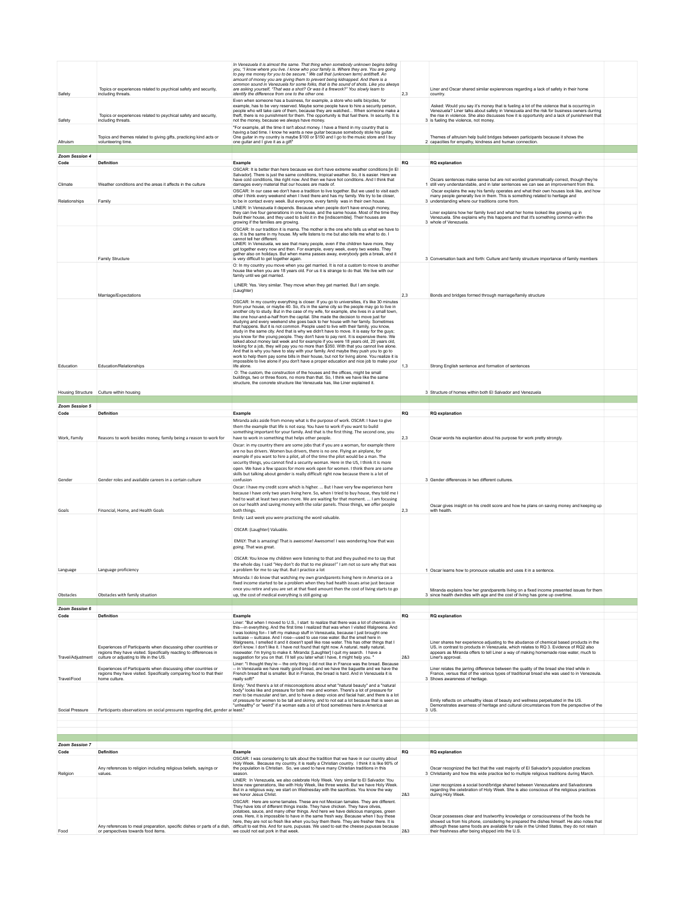|                        |                                                                                                                                                                                 | In Venezuela it is almost the same. That thing when somebody unknown begins telling<br>you, "I know where you live. I know who your family is. Where they are. You are going<br>to pay me money for you to be secure." We call that (unknown term) antitheft. An<br>amount of money you are giving them to prevent being kidnapped. And there is a                                                                                                                                                                                                                                                                                                                                                                                                                                                                                                                                                                                                                                                                                                                                                                                                                                                               |            |                                                                                                                                                                                                                                                                                                                                                                        |  |
|------------------------|---------------------------------------------------------------------------------------------------------------------------------------------------------------------------------|------------------------------------------------------------------------------------------------------------------------------------------------------------------------------------------------------------------------------------------------------------------------------------------------------------------------------------------------------------------------------------------------------------------------------------------------------------------------------------------------------------------------------------------------------------------------------------------------------------------------------------------------------------------------------------------------------------------------------------------------------------------------------------------------------------------------------------------------------------------------------------------------------------------------------------------------------------------------------------------------------------------------------------------------------------------------------------------------------------------------------------------------------------------------------------------------------------------|------------|------------------------------------------------------------------------------------------------------------------------------------------------------------------------------------------------------------------------------------------------------------------------------------------------------------------------------------------------------------------------|--|
| Safety                 | Topics or experiences related to psychical safety and security,<br>including threats.                                                                                           | common sound in Venezuela for some folks, that is the sound of shots. Like you always<br>are asking yourself, "That was a shot? Or was it a firework?" You slowly learn to<br>identify the difference from one to the other one.                                                                                                                                                                                                                                                                                                                                                                                                                                                                                                                                                                                                                                                                                                                                                                                                                                                                                                                                                                                 | 2.3        | Liner and Oscar shared similar explerences regarding a lack of safety in their home<br>country.                                                                                                                                                                                                                                                                        |  |
| Safety                 | Topics or experiences related to psychical safety and security,<br>including threats.                                                                                           | Even when someone has a business, for example, a store who sells bicycles, for<br>example, has to be very reserved. Maybe some people have to hire a security person,<br>people who will take care of them, because they are watched When someone make a<br>theft, there is no punishment for them. The opportunity is that fuel there, In security, It is<br>not the money, because we always have money.<br>"For example, all the time it isn't about money. I have a friend in my country that is                                                                                                                                                                                                                                                                                                                                                                                                                                                                                                                                                                                                                                                                                                             |            | Asked: Would you say it's money that is fueling a lot of the violence that is occurring in<br>Venezuela? Liner talks about safety in Venezuela and the risk for business owners durring<br>the rise in violence. She also discusses how it is opportunity and a lack of punishment that<br>3 is fueling the violence, not money.                                       |  |
| Altruism               | Topics and themes related to giving gifts, practicing kind acts or<br>volunteering time.                                                                                        | having a bad time. I know he wants a new guitar because somebody stole his guitar.<br>One guitar in my country is maybe \$100 or \$150 and I go to the music store and I buy<br>one guitar and I give it as a gift"                                                                                                                                                                                                                                                                                                                                                                                                                                                                                                                                                                                                                                                                                                                                                                                                                                                                                                                                                                                              |            | Themes of altruism help build bridges between participants because it shows the<br>2 capacities for empathy, kindness and human connection.                                                                                                                                                                                                                            |  |
| Zoom Session 4         |                                                                                                                                                                                 |                                                                                                                                                                                                                                                                                                                                                                                                                                                                                                                                                                                                                                                                                                                                                                                                                                                                                                                                                                                                                                                                                                                                                                                                                  |            |                                                                                                                                                                                                                                                                                                                                                                        |  |
| Code                   | Definition                                                                                                                                                                      | Example<br>OSCAR: It is better than here because we don't have extreme weather conditions [in El                                                                                                                                                                                                                                                                                                                                                                                                                                                                                                                                                                                                                                                                                                                                                                                                                                                                                                                                                                                                                                                                                                                 | RQ         | <b>RQ</b> explanation                                                                                                                                                                                                                                                                                                                                                  |  |
| Climate                | Weather conditions and the areas it affects in the culture                                                                                                                      | Salvador]. There is just the same conditions, tropical weather. So, it is easier. Here we<br>have cold conditions, like right now. And then we have hot conditions. And I think that<br>damages every material that our houses are made of.                                                                                                                                                                                                                                                                                                                                                                                                                                                                                                                                                                                                                                                                                                                                                                                                                                                                                                                                                                      |            | Oscars sentences make sense but are not worded grammatically correct, though they're<br>1 still very understandable, and in later sentences we can see an improvement from this.                                                                                                                                                                                       |  |
| Relationships          | Family                                                                                                                                                                          | OSCAR: In our case we don't have a tradition to live together. But we used to visit each<br>other I think every weekend when I lived there and has my family. We try to be closer,<br>to be in contact every week. But everyone, every family was in their own house.                                                                                                                                                                                                                                                                                                                                                                                                                                                                                                                                                                                                                                                                                                                                                                                                                                                                                                                                            |            | Oscar explains the way his family operates and what their own houses look like, and how<br>many people generally live in them. This is something related to heritage and<br>3 understanding where our traditions come from.                                                                                                                                            |  |
|                        |                                                                                                                                                                                 | LINER: In Venezuela it depends. Because when people don't have enough money.<br>they can live four generations in one house, and the same house. Most of the time they<br>build their house, and they used to build it in the [indiscernible]. Their houses are<br>growing if the families are growing.                                                                                                                                                                                                                                                                                                                                                                                                                                                                                                                                                                                                                                                                                                                                                                                                                                                                                                          |            | Liner explains how her family lived and what her home looked like growing up in<br>Venezuela. She explains why this happens and that it's something common within the<br>3 whole of Venezuela.                                                                                                                                                                         |  |
|                        | Family Structure                                                                                                                                                                | OSCAR: In our tradition it is mama. The mother is the one who tells us what we have to<br>do. It is the same in my house. My wife listens to me but also tells me what to do. I<br>cannot tell her different<br>LINER: In Venezuela, we see that many people, even if the children have more, they<br>get together every now and then. For example, every week, every two weeks. They<br>gather also on holidays. But when mama passes away, everybody gets a break, and it<br>is very difficult to get together again.                                                                                                                                                                                                                                                                                                                                                                                                                                                                                                                                                                                                                                                                                          |            | 3 Conversation back and forth: Culture and family structure importance of family members                                                                                                                                                                                                                                                                               |  |
|                        |                                                                                                                                                                                 | O: In my country you move when you get married. It is not a custom to move to another<br>house like when you are 18 years old. For us it is strange to do that. We live with our<br>family until we get married.                                                                                                                                                                                                                                                                                                                                                                                                                                                                                                                                                                                                                                                                                                                                                                                                                                                                                                                                                                                                 |            |                                                                                                                                                                                                                                                                                                                                                                        |  |
|                        | Marriage/Expectations                                                                                                                                                           | LINER: Yes. Very similar. They move when they get married. But I am single.<br>(Laughter)                                                                                                                                                                                                                                                                                                                                                                                                                                                                                                                                                                                                                                                                                                                                                                                                                                                                                                                                                                                                                                                                                                                        | 2,3        | Bonds and bridges formed through marriage/family structure                                                                                                                                                                                                                                                                                                             |  |
|                        |                                                                                                                                                                                 | OSCAR: In my country everything is closer. If you go to universities, it's like 30 minutes<br>from your house, or maybe 40. So, it's in the same city so the people may go to live in<br>another city to study. But in the case of my wife, for example, she lives in a small town,<br>like one hour-and-a-half from the capital. She made the decision to move just for<br>studying and every weekend she goes back to her house with her family. Sometimes<br>that happens. But it is not common. People used to live with their family, you know,<br>study in the same city. And that is why we didn't have to move. It is easy for the guys;<br>you know for the young people. They don't have to pay rent. It is expensive there. We<br>talked about money last week and for example if you were 18 years old, 20 years old,<br>looking for a job, they will pay you no more than \$350. With that you cannot live alone.<br>And that is why you have to stay with your family. And maybe they push you to go to<br>work to help them pay some bills in their house, but not for living alone. You realize it is<br>impossible to live alone if you don't have a proper education and nice job to make your |            |                                                                                                                                                                                                                                                                                                                                                                        |  |
| Education              | Education/Relationships                                                                                                                                                         | life alone.<br>O: The custom, the construction of the houses and the offices, might be small<br>buildings, two or three floors, no more than that. So, I think we have like the same                                                                                                                                                                                                                                                                                                                                                                                                                                                                                                                                                                                                                                                                                                                                                                                                                                                                                                                                                                                                                             | 1.3        | Strong English sentence and formation of sentences                                                                                                                                                                                                                                                                                                                     |  |
|                        | Housing Structure Culture within housing                                                                                                                                        | structure, the concrete structure like Venezuela has, like Liner explained it.                                                                                                                                                                                                                                                                                                                                                                                                                                                                                                                                                                                                                                                                                                                                                                                                                                                                                                                                                                                                                                                                                                                                   |            | 3 Structure of homes within both El Salvador and Venezuela                                                                                                                                                                                                                                                                                                             |  |
| Zoom Session 5         |                                                                                                                                                                                 |                                                                                                                                                                                                                                                                                                                                                                                                                                                                                                                                                                                                                                                                                                                                                                                                                                                                                                                                                                                                                                                                                                                                                                                                                  |            |                                                                                                                                                                                                                                                                                                                                                                        |  |
| Code                   | <b>Definition</b>                                                                                                                                                               | Example                                                                                                                                                                                                                                                                                                                                                                                                                                                                                                                                                                                                                                                                                                                                                                                                                                                                                                                                                                                                                                                                                                                                                                                                          | <b>RQ</b>  | <b>RQ</b> explanation                                                                                                                                                                                                                                                                                                                                                  |  |
| Work, Family           | Reasons to work besides money, family being a reason to work for                                                                                                                | Miranda asks aside from money what is the purpose of work. OSCAR: I have to give<br>them the example that life is not easy. You have to work if you want to build<br>something important for your family. And that is the first thing. The second one, you<br>have to work in something that helps other people.<br>Oscar: in my country there are some jobs that if you are a woman, for example there<br>are no bus drivers. Women bus drivers, there is no one. Flying an airplane, for<br>example if you want to hire a pilot, all of the time the pilot would be a man. The                                                                                                                                                                                                                                                                                                                                                                                                                                                                                                                                                                                                                                 | 2.3        | Oscar words his explantion about his purpose for work pretty strongly.                                                                                                                                                                                                                                                                                                 |  |
| Gender                 | Gender roles and available careers in a certain culture                                                                                                                         | security things, you cannot find a security woman. Here in the US, I think it is more<br>open. We have a few spaces for more work open for women. I think there are some<br>skills but talking about gender is really difficult right now because there is a lot of<br>confusion                                                                                                                                                                                                                                                                                                                                                                                                                                                                                                                                                                                                                                                                                                                                                                                                                                                                                                                                 |            | 3 Gender differences in two different cultures                                                                                                                                                                                                                                                                                                                         |  |
| Goals                  | Financial, Home, and Health Goals                                                                                                                                               | Oscar: I have my credit score which is higher.  But I have very few experience here<br>because I have only two years living here. So, when I tried to buy house, they told me I<br>had to wait at least two years more. We are waiting for that moment.  I am focusing<br>on our health and saving money with the solar panels. Those things, we offer people<br>both things.<br>Emily: Last week you were practicing the word valuable.<br>OSCAR: (Laughter) Valuable.<br>EMILY: That is amazing! That is awesome! Awesome! I was wondering how that was<br>going. That was great.                                                                                                                                                                                                                                                                                                                                                                                                                                                                                                                                                                                                                              | 2.3        | Oscar gives insight on his credit score and how he plans on saving money and keeping up<br>with health.                                                                                                                                                                                                                                                                |  |
|                        |                                                                                                                                                                                 | OSCAR: You know my children were listening to that and they pushed me to say that                                                                                                                                                                                                                                                                                                                                                                                                                                                                                                                                                                                                                                                                                                                                                                                                                                                                                                                                                                                                                                                                                                                                |            |                                                                                                                                                                                                                                                                                                                                                                        |  |
| Language               | Language proficiency                                                                                                                                                            | the whole day. I said "Hey don't do that to me please!" I am not so sure why that was<br>a problem for me to sav that. But I practice a lot<br>Miranda: I do know that watching my own grandparents living here in America on a                                                                                                                                                                                                                                                                                                                                                                                                                                                                                                                                                                                                                                                                                                                                                                                                                                                                                                                                                                                  |            | Oscar learns how to pronouce valuable and uses it in a                                                                                                                                                                                                                                                                                                                 |  |
| Obstacles              | Obstacles with family situation                                                                                                                                                 | fixed income started to be a problem when they had health issues arise just because<br>once you retire and you are set at that fixed amount then the cost of living starts to go<br>up, the cost of medical everything is still going up                                                                                                                                                                                                                                                                                                                                                                                                                                                                                                                                                                                                                                                                                                                                                                                                                                                                                                                                                                         |            | Miranda explains how her grandparents living on a fixed income presented issues for them<br>3 since health dwindles with age and the cost of living has gone up overtime.                                                                                                                                                                                              |  |
|                        |                                                                                                                                                                                 |                                                                                                                                                                                                                                                                                                                                                                                                                                                                                                                                                                                                                                                                                                                                                                                                                                                                                                                                                                                                                                                                                                                                                                                                                  |            |                                                                                                                                                                                                                                                                                                                                                                        |  |
| Zoom Session 6<br>Code | <b>Definition</b>                                                                                                                                                               | Example                                                                                                                                                                                                                                                                                                                                                                                                                                                                                                                                                                                                                                                                                                                                                                                                                                                                                                                                                                                                                                                                                                                                                                                                          | <b>RQ</b>  | <b>RQ</b> explanation                                                                                                                                                                                                                                                                                                                                                  |  |
| Travel/Adiustment      | Experiences of Participants when discussing other countries or<br>regions they have visited. Specifically reacting to differences in<br>culture or adjusting to life in the US. | Liner: "But when I moved to U.S., I start to realize that there was a lot of chemicals in<br>this-in everything. And the first time I realized that was when I visited Walgreens. And<br>I was looking for-- I left my makeup stuff in Venezuela, because I just brought one<br>suitcase -- suitcase. And I rose-used to use rose water. But the smell here in<br>Walgreens, I smelled it and it doesn't spell like rose water. This has other things that I<br>don't know. I don't like it. I have not found that right now. A natural, really natural,<br>rosewater. I'm trying to make it. Miranda: [Laughter] I quit my search. I have a<br>suggestion for you on that. I'll tell you later what I have, it might help you. "<br>Liner: "I thought they're -- the only thing I did not like in France was the bread. Because                                                                                                                                                                                                                                                                                                                                                                                 | 283        | Liner shares her experience adjusting to the abudance of chemical based products in the<br>US, in contrast to products in Venezuela, which relates to RQ 3. Evidence of RQ2 also<br>appears as Miranda offers to tell Liner a way of making homemade rose water, much to<br>Liner's approval.                                                                          |  |
| Travel/Food            | Experiences of Participants when discussing other countries or<br>regions they have visited. Specifically comparing food to that their<br>home culture                          | -- in Venezuela we have really good bread, and we have the baguette and we have the<br>French bread that is smaller. But in France, the bread is hard. And in Venezuela it is<br>really soft!<br>Emily: "And there's a lot of misconceptions about what "natural beauty" and a "natural                                                                                                                                                                                                                                                                                                                                                                                                                                                                                                                                                                                                                                                                                                                                                                                                                                                                                                                          |            | Liner relates the jarring difference between the quality of the bread she tried while in<br>France, versus that of the various types of traditional bread she was used to in Venezeula.<br>3 Shows awareness of heritage                                                                                                                                               |  |
| Social Pressure        | Participants observations on social pressures regarding diet, gender ar least."                                                                                                 | body" looks like and pressure for both men and women. There's a lot of pressure for<br>men to be muscular and tan, and to have a deep voice and facial hair, and there is a lot<br>of pressure for women to be tall and skinny, and to not eat a lot because that is seen as<br>"unhealthy" or "weird" if a woman eats a lot of food sometimes here in America at                                                                                                                                                                                                                                                                                                                                                                                                                                                                                                                                                                                                                                                                                                                                                                                                                                                |            | Emily reflects on unhealthy ideas of beauty and wellness perpetuated in the US.<br>Demonstrates awarness of heritage and cultural circumstances from the perspective of the<br>3 US.                                                                                                                                                                                   |  |
|                        |                                                                                                                                                                                 |                                                                                                                                                                                                                                                                                                                                                                                                                                                                                                                                                                                                                                                                                                                                                                                                                                                                                                                                                                                                                                                                                                                                                                                                                  |            |                                                                                                                                                                                                                                                                                                                                                                        |  |
|                        |                                                                                                                                                                                 |                                                                                                                                                                                                                                                                                                                                                                                                                                                                                                                                                                                                                                                                                                                                                                                                                                                                                                                                                                                                                                                                                                                                                                                                                  |            |                                                                                                                                                                                                                                                                                                                                                                        |  |
| Zoom Session 7<br>Code | Definition                                                                                                                                                                      | Example                                                                                                                                                                                                                                                                                                                                                                                                                                                                                                                                                                                                                                                                                                                                                                                                                                                                                                                                                                                                                                                                                                                                                                                                          | RQ         | <b>RQ</b> explanation                                                                                                                                                                                                                                                                                                                                                  |  |
| Religion               | Any references to religion including religious beliefs, sayings or<br>values                                                                                                    | OSCAR: I was considering to talk about the tradition that we have in our country about<br>Holy Week. Because my country, it is really a Christian country. I think it is like 90% of<br>the population is Christian. So, we used to have many Christian traditions in this<br>season<br>LINER: In Venezuela, we also celebrate Holy Week, Very similar to El Salvador, You<br>know new generations, like with Holy Week, like three weeks. But we have Holy Week.<br>But in a religious way, we start on Wednesday with the sacrifices. You know the way                                                                                                                                                                                                                                                                                                                                                                                                                                                                                                                                                                                                                                                         |            | Oscar recognized the fact that the vast majority of El Salvador's population practices<br>3 Christianity and how this wide practice led to multiple religious traditions during March.<br>Liner recognizes a social bond/bridge shared between Venezuelans and Salvadorans<br>regarding the celebration of Holy Week. She is also conscious of the religious practices |  |
| Food                   | Any references to meal preparation, specific dishes or parts of a dish,<br>or perspectives towards food items.                                                                  | we honor Jesus Christ.<br>OSCAR: Here are some tamales. These are not Mexican tamales. They are different.<br>They have lots of different things inside. They have chicken. They have olives,<br>potatoes, sauce, and many other things. And here we have delicious mangoes, green<br>ones. Here, it is impossible to have in the same fresh way. Because when I buy these<br>here, they are not so fresh like when you buy them there. They are fresher there. It is<br>difficult to eat this. And for sure, pupusas. We used to eat the cheese pupusas because<br>we could not eat pork in that week.                                                                                                                                                                                                                                                                                                                                                                                                                                                                                                                                                                                                          | 283<br>283 | during Holy Week.<br>Oscar possesses clear and trustworthy knowledge or consciousness of the foods he<br>showed us from his phone, considering he prepared the dishes himself. He also notes that<br>although these same foods are available for sale in the United States, they do not retain<br>their freshness after being shipped into the U.S.                    |  |